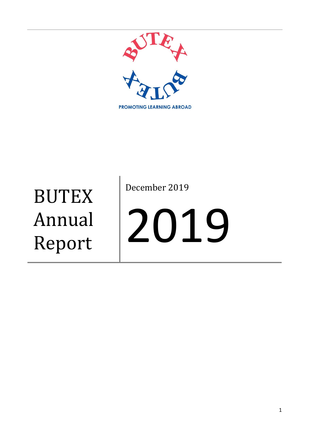

**BUTEX** Annual Report

December 2019

# 2019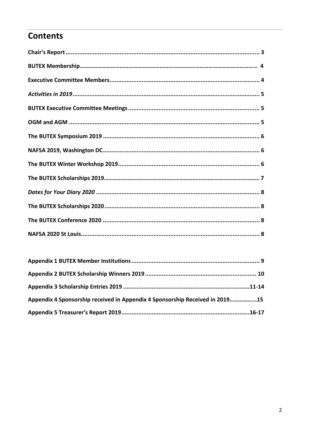# **Contents**

| Appendix 4 Sponsorship received in Appendix 4 Sponsorship Received in 201915 |  |
|------------------------------------------------------------------------------|--|
|                                                                              |  |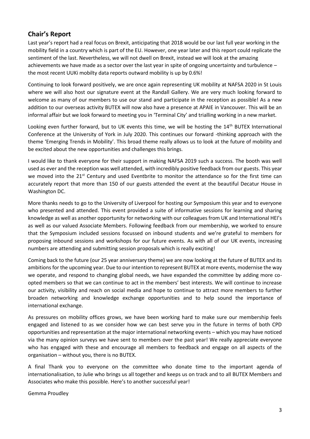# **Chair's Report**

Last year's report had a real focus on Brexit, anticipating that 2018 would be our last full year working in the mobility field in a country which is part of the EU. However, one year later and this report could replicate the sentiment of the last. Nevertheless, we will not dwell on Brexit, instead we will look at the amazing achievements we have made as a sector over the last year in spite of ongoing uncertainty and turbulence – the most recent UUKi mobilty data reports outward mobility is up by 0.6%!

Continuing to look forward positively, we are once again representing UK mobility at NAFSA 2020 in St Louis where we will also host our signature event at the Randall Gallery. We are very much looking forward to welcome as many of our members to use our stand and participate in the reception as possible! As a new addition to our overseas activity BUTEX will now also have a presence at APAIE in Vancouver. This will be an informal affair but we look forward to meeting you in 'Terminal City' and trialling working in a new market.

Looking even further forward, but to UK events this time, we will be hosting the 14<sup>th</sup> BUTEX International Conference at the University of York in July 2020. This continues our forward -thinking approach with the theme 'Emerging Trends in Mobility'. This broad theme really allows us to look at the future of mobility and be excited about the new opportunities and challenges this brings.

I would like to thank everyone for their support in making NAFSA 2019 such a success. The booth was well used as ever and the reception was well attended, with incredibly positive feedback from our guests. This year we moved into the 21<sup>st</sup> Century and used Eventbrite to monitor the attendance so for the first time can accurately report that more than 150 of our guests attended the event at the beautiful Decatur House in Washington DC.

More thanks needs to go to the University of Liverpool for hosting our Symposium this year and to everyone who presented and attended. This event provided a suite of informative sessions for learning and sharing knowledge as well as another opportunity for networking with our colleagues from UK and International HEI's as well as our valued Associate Members. Following feedback from our membership, we worked to ensure that the Symposium included sessions focussed on inbound students and we're grateful to members for proposing inbound sessions and workshops for our future events. As with all of our UK events, increasing numbers are attending and submitting session proposals which is really exciting!

Coming back to the future (our 25 year anniversary theme) we are now looking at the future of BUTEX and its ambitions for the upcoming year. Due to our intention to represent BUTEX at more events, modernise the way we operate, and respond to changing global needs, we have expanded the committee by adding more coopted members so that we can continue to act in the members' best interests. We will continue to increase our activity, visibility and reach on social media and hope to continue to attract more members to further broaden networking and knowledge exchange opportunities and to help sound the importance of international exchange.

As pressures on mobility offices grows, we have been working hard to make sure our membership feels engaged and listened to as we consider how we can best serve you in the future in terms of both CPD opportunities and representation at the major international networking events – which you may have noticed via the many opinion surveys we have sent to members over the past year! We really appreciate everyone who has engaged with these and encourage all members to feedback and engage on all aspects of the organisation – without you, there is no BUTEX.

A final Thank you to everyone on the committee who donate time to the important agenda of internationalisation, to Julie who brings us all together and keeps us on track and to all BUTEX Members and Associates who make this possible. Here's to another successful year!

Gemma Proudley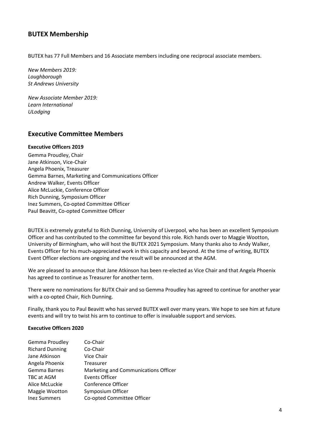# **BUTEX Membership**

BUTEX has 77 Full Members and 16 Associate members including one reciprocal associate members.

*New Members 2019: Loughborough St Andrews University*

*New Associate Member 2019: Learn International ULodging*

#### **Executive Committee Members**

#### **Executive Officers 2019**

Gemma Proudley, Chair Jane Atkinson, Vice-Chair Angela Phoenix, Treasurer Gemma Barnes, Marketing and Communications Officer Andrew Walker, Events Officer Alice McLuckie, Conference Officer Rich Dunning, Symposium Officer Inez Summers, Co-opted Committee Officer Paul Beavitt, Co-opted Committee Officer

BUTEX is extremely grateful to Rich Dunning, University of Liverpool, who has been an excellent Symposium Officer and has contributed to the committee far beyond this role. Rich hands over to Maggie Wootton, University of Birmingham, who will host the BUTEX 2021 Symposium. Many thanks also to Andy Walker, Events Officer for his much-appreciated work in this capacity and beyond. At the time of writing, BUTEX Event Officer elections are ongoing and the result will be announced at the AGM.

We are pleased to announce that Jane Atkinson has been re-elected as Vice Chair and that Angela Phoenix has agreed to continue as Treasurer for another term.

There were no nominations for BUTX Chair and so Gemma Proudley has agreed to continue for another year with a co-opted Chair, Rich Dunning.

Finally, thank you to Paul Beavitt who has served BUTEX well over many years. We hope to see him at future events and will try to twist his arm to continue to offer is invaluable support and services.

#### **Executive Officers 2020**

| Gemma Proudley         | Co-Chair                             |
|------------------------|--------------------------------------|
| <b>Richard Dunning</b> | Co-Chair                             |
| Jane Atkinson          | Vice Chair                           |
| Angela Phoenix         | <b>Treasurer</b>                     |
| Gemma Barnes           | Marketing and Communications Officer |
| TBC at AGM             | <b>Events Officer</b>                |
| Alice McLuckie         | Conference Officer                   |
| Maggie Wootton         | Symposium Officer                    |
| <b>Inez Summers</b>    | Co-opted Committee Officer           |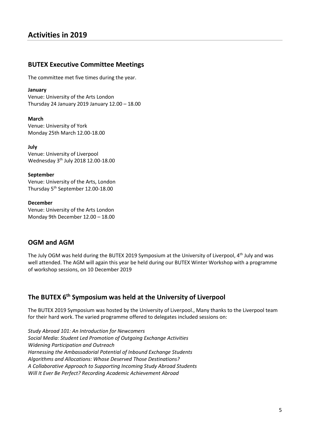## **BUTEX Executive Committee Meetings**

The committee met five times during the year.

#### **January**

Venue: University of the Arts London Thursday 24 January 2019 January 12.00 – 18.00

**March** Venue: University of York Monday 25th March 12.00-18.00

**July** Venue: University of Liverpool Wednesday 3 th July 2018 12.00-18.00

**September** Venue: University of the Arts, London Thursday 5th September 12.00-18.00

#### **December**

Venue: University of the Arts London Monday 9th December 12.00 – 18.00

#### **OGM and AGM**

The July OGM was held during the BUTEX 2019 Symposium at the University of Liverpool, 4th July and was well attended. The AGM will again this year be held during our BUTEX Winter Workshop with a programme of workshop sessions, on 10 December 2019

# **The BUTEX 6 th Symposium was held at the University of Liverpool**

The BUTEX 2019 Symposium was hosted by the University of Liverpool., Many thanks to the Liverpool team for their hard work. The varied programme offered to delegates included sessions on:

*Study Abroad 101: An Introduction for Newcomers Social Media: Student Led Promotion of Outgoing Exchange Activities Widening Participation and Outreach Harnessing the Ambassadorial Potential of Inbound Exchange Students Algorithms and Allocations: Whose Deserved Those Destinations? A Collaborative Approach to Supporting Incoming Study Abroad Students Will It Ever Be Perfect? Recording Academic Achievement Abroad*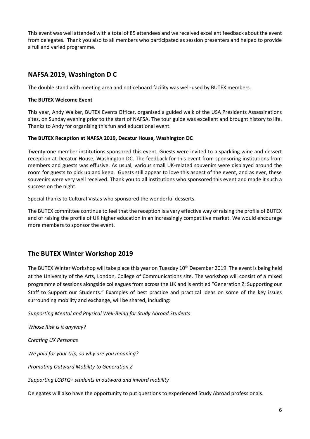This event was well attended with a total of 85 attendees and we received excellent feedback about the event from delegates. Thank you also to all members who participated as session presenters and helped to provide a full and varied programme.

# **NAFSA 2019, Washington D C**

The double stand with meeting area and noticeboard facility was well-used by BUTEX members.

#### **The BUTEX Welcome Event**

This year, Andy Walker, BUTEX Events Officer, organised a guided walk of the USA Presidents Assassinations sites, on Sunday evening prior to the start of NAFSA. The tour guide was excellent and brought history to life. Thanks to Andy for organising this fun and educational event.

#### **The BUTEX Reception at NAFSA 2019, Decatur House, Washington DC**

Twenty-one member institutions sponsored this event. Guests were invited to a sparkling wine and dessert reception at Decatur House, Washington DC. The feedback for this event from sponsoring institutions from members and guests was effusive. As usual, various small UK-related souvenirs were displayed around the room for guests to pick up and keep. Guests still appear to love this aspect of the event, and as ever, these souvenirs were very well received. Thank you to all institutions who sponsored this event and made it such a success on the night.

Special thanks to Cultural Vistas who sponsored the wonderful desserts.

The BUTEX committee continue to feel that the reception is a very effective way of raising the profile of BUTEX and of raising the profile of UK higher education in an increasingly competitive market. We would encourage more members to sponsor the event.

# **The BUTEX Winter Workshop 2019**

The BUTEX Winter Workshop will take place this year on Tuesday 10<sup>th</sup> December 2019. The event is being held at the University of the Arts, London, College of Communications site. The workshop will consist of a mixed programme of sessions alongside colleagues from across the UK and is entitled "Generation Z: Supporting our Staff to Support our Students." Examples of best practice and practical ideas on some of the key issues surrounding mobility and exchange, will be shared, including:

*Supporting Mental and Physical Well-Being for Study Abroad Students*

*Whose Risk is it anyway?*

*Creating UX Personas*

*We paid for your trip, so why are you moaning?*

*Promoting Outward Mobility to Generation Z*

*Supporting LGBTQ+ students in outward and inward mobility*

Delegates will also have the opportunity to put questions to experienced Study Abroad professionals.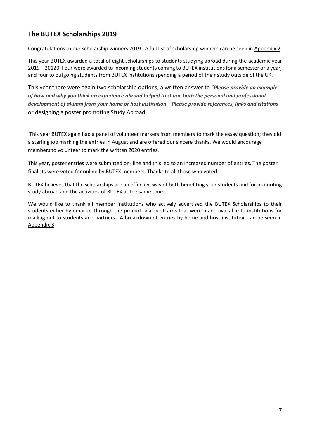# **The BUTEX Scholarships 2019**

Congratulations to our scholarship winners 2019. A full list of scholarship winners can be seen in [Appendix 2.](#page-9-0)

This year BUTEX awarded a total of eight scholarships to students studying abroad during the academic year 2019 – 20120. Four were awarded to incoming students coming to BUTEX institutions for a semester or a year, and four to outgoing students from BUTEX institutions spending a period of their study outside of the UK.

This year there were again two scholarship options, a written answer to "*Please provide an example of how and why you think an experience abroad helped to shape both the personal and professional development of alumni from your home or host institution." Please provide references, links and citations* or designing a poster promoting Study Abroad.

This year BUTEX again had a panel of volunteer markers from members to mark the essay question; they did a sterling job marking the entries in August and are offered our sincere thanks. We would encourage members to volunteer to mark the written 2020 entries.

This year, poster entries were submitted on- line and this led to an increased number of entries. The poster finalists were voted for online by BUTEX members. Thanks to all those who voted.

BUTEX believes that the scholarships are an effective way of both benefiting your students and for promoting study abroad and the activities of BUTEX at the same time.

We would like to thank all member institutions who actively advertised the BUTEX Scholarships to their students either by email or through the promotional postcards that were made available to institutions for mailing out to students and partners. A breakdown of entries by home and host institution can be seen in [Appendix 3](#page-10-0)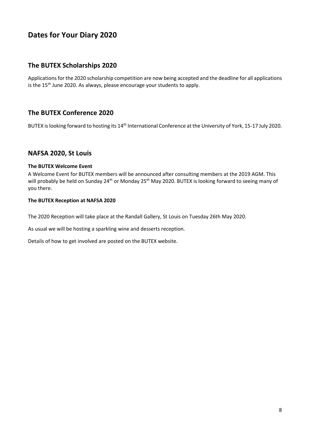# **Dates for Your Diary 2020**

# **The BUTEX Scholarships 2020**

Applications for the 2020 scholarship competition are now being accepted and the deadline for all applications is the 15<sup>th</sup> June 2020. As always, please encourage your students to apply.

# **The BUTEX Conference 2020**

BUTEX is looking forward to hosting its 14<sup>th</sup> International Conference at the University of York, 15-17 July 2020.

## **NAFSA 2020, St Louis**

#### **The BUTEX Welcome Event**

A Welcome Event for BUTEX members will be announced after consulting members at the 2019 AGM. This will probably be held on Sunday 24<sup>th</sup> or Monday 25<sup>th</sup> May 2020. BUTEX is looking forward to seeing many of you there.

#### **The BUTEX Reception at NAFSA 2020**

The 2020 Reception will take place at the Randall Gallery, St Louis on Tuesday 26th May 2020.

As usual we will be hosting a sparkling wine and desserts reception.

Details of how to get involved are posted on the BUTEX website.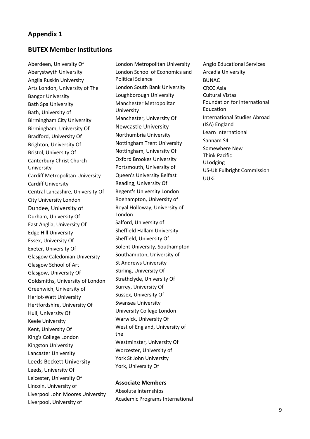#### **BUTEX Member Institutions**

Aberdeen, University Of Aberystwyth University Anglia Ruskin University Arts London, University of The Bangor University Bath Spa University Bath, University of Birmingham City University Birmingham, University Of Bradford, University Of Brighton, University Of Bristol, University Of Canterbury Christ Church University Cardiff Metropolitan University Cardiff University Central Lancashire, University Of City University London Dundee, University of Durham, University Of East Anglia, University Of Edge Hill University Essex, University Of Exeter, University Of Glasgow Caledonian University Glasgow School of Art Glasgow, University Of Goldsmiths, University of London Greenwich, University of Heriot-Watt University Hertfordshire, University Of Hull, University Of Keele University Kent, University Of King's College London Kingston University Lancaster University Leeds Beckett University Leeds, University Of Leicester, University Of Lincoln, University of Liverpool John Moores University Liverpool, University of

London Metropolitan University London School of Economics and Political Science London South Bank University Loughborough University Manchester Metropolitan University Manchester, University Of Newcastle University Northumbria University Nottingham Trent University Nottingham, University Of Oxford Brookes University Portsmouth, University of Queen's University Belfast Reading, University Of Regent's University London Roehampton, University of Royal Holloway, University of London Salford, University of Sheffield Hallam University Sheffield, University Of Solent University, Southampton Southampton, University of St Andrews University Stirling, University Of Strathclyde, University Of Surrey, University Of Sussex, University Of Swansea University University College London Warwick, University Of West of England, University of the Westminster, University Of Worcester, University of York St John University York, University Of

#### **Associate Members**

Absolute Internships Academic Programs International Anglo Educational Services Arcadia University BUNAC CRCC Asia Cultural Vistas Foundation for International Education International Studies Abroad (ISA) England Learn International Sannam S4 Somewhere New Think Pacific ULodging US-UK Fulbright Commission UUKi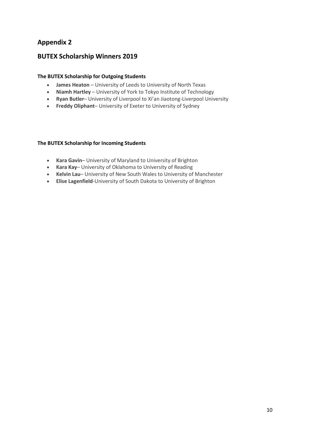# <span id="page-9-0"></span>**BUTEX Scholarship Winners 2019**

#### **The BUTEX Scholarship for Outgoing Students**

- **James Heaton** University of Leeds to University of North Texas
- **Niamh Hartley** University of York to Tokyo Institute of Technology
- **Ryan Butler** University of Liverpool to Xi'an Jiaotong-Liverpool University
- **Freddy Oliphant** University of Exeter to University of Sydney

#### **The BUTEX Scholarship for Incoming Students**

- **Kara Gavin** University of Maryland to University of Brighton
- **Kara Kay** University of Oklahoma to University of Reading
- **Kelvin Lau** University of New South Wales to University of Manchester
- **Elise Lagenfield**-University of South Dakota to University of Brighton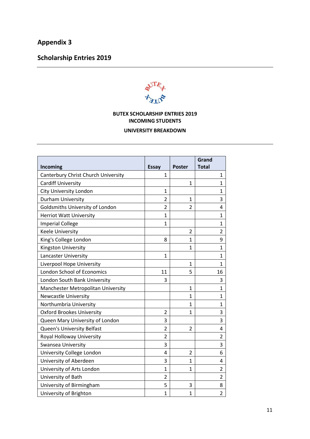# <span id="page-10-0"></span>**Scholarship Entries 2019**



## **BUTEX SCHOLARSHIP ENTRIES 2019 INCOMING STUDENTS**

#### **UNIVERSITY BREAKDOWN**

| Incoming                            | <b>Essay</b>   | <b>Poster</b>  | Grand<br><b>Total</b> |
|-------------------------------------|----------------|----------------|-----------------------|
| Canterbury Christ Church University | 1              |                | 1                     |
| <b>Cardiff University</b>           |                | $\mathbf{1}$   | 1                     |
|                                     |                |                |                       |
| <b>City University London</b>       | 1              |                | 1                     |
| Durham University                   | $\overline{2}$ | $\mathbf{1}$   | 3                     |
| Goldsmiths University of London     | $\overline{2}$ | $\overline{2}$ | 4                     |
| <b>Herriot Watt University</b>      | $\overline{1}$ |                | $\mathbf{1}$          |
| <b>Imperial College</b>             | 1              |                | 1                     |
| <b>Keele University</b>             |                | $\overline{2}$ | $\overline{2}$        |
| King's College London               | 8              | $\mathbf{1}$   | 9                     |
| Kingston University                 |                | $\mathbf{1}$   | $\mathbf{1}$          |
| <b>Lancaster University</b>         | 1              |                | 1                     |
| Liverpool Hope University           |                | $\mathbf{1}$   | $\mathbf{1}$          |
| London School of Economics          | 11             | 5              | 16                    |
| London South Bank University        | 3              |                | 3                     |
| Manchester Metropolitan University  |                | $\mathbf{1}$   | 1                     |
| <b>Newcastle University</b>         |                | 1              | 1                     |
| Northumbria University              |                | 1              | 1                     |
| <b>Oxford Brookes University</b>    | $\overline{2}$ | $\mathbf{1}$   | 3                     |
| Queen Mary University of London     | 3              |                | 3                     |
| Queen's University Belfast          | $\overline{2}$ | $\overline{2}$ | 4                     |
| Royal Holloway University           | $\overline{2}$ |                | $\overline{2}$        |
| Swansea University                  | 3              |                | 3                     |
| University College London           | 4              | 2              | 6                     |
| University of Aberdeen              | 3              | 1              | 4                     |
| University of Arts London           | 1              | 1              | $\overline{2}$        |
| University of Bath                  | $\overline{2}$ |                | $\overline{2}$        |
| University of Birmingham            | 5              | 3              | 8                     |
| University of Brighton              | 1              | $\mathbf{1}$   | $\overline{2}$        |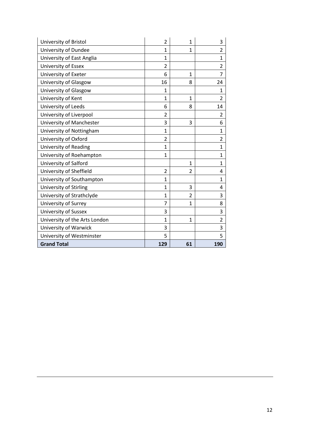| University of Bristol         | $\overline{2}$ | $\mathbf{1}$   | 3              |
|-------------------------------|----------------|----------------|----------------|
| University of Dundee          | $\mathbf{1}$   | $\mathbf{1}$   | 2              |
| University of East Anglia     | $\mathbf{1}$   |                | 1              |
| University of Essex           | 2              |                | $\overline{2}$ |
| University of Exeter          | 6              | $\mathbf{1}$   | 7              |
| University of Glasgow         | 16             | 8              | 24             |
| University of Glasgow         | $\mathbf{1}$   |                | 1              |
| University of Kent            | $\mathbf{1}$   | $\mathbf{1}$   | $\overline{2}$ |
| University of Leeds           | 6              | 8              | 14             |
| University of Liverpool       | 2              |                | 2              |
| University of Manchester      | 3              | 3              | 6              |
| University of Nottingham      | $\mathbf{1}$   |                | $\mathbf{1}$   |
| University of Oxford          | 2              |                | $\overline{2}$ |
| University of Reading         | $\mathbf{1}$   |                | 1              |
| University of Roehampton      | $\mathbf{1}$   |                | $\mathbf{1}$   |
| University of Salford         |                | $\mathbf{1}$   | 1              |
| University of Sheffield       | $\overline{2}$ | 2              | 4              |
| University of Southampton     | $\mathbf{1}$   |                | 1              |
| University of Stirling        | $\mathbf{1}$   | 3              | 4              |
| University of Strathclyde     | $\mathbf{1}$   | $\overline{2}$ | 3              |
| University of Surrey          | 7              | $\mathbf{1}$   | 8              |
| University of Sussex          | 3              |                | 3              |
| University of the Arts London | $\mathbf{1}$   | $\mathbf{1}$   | 2              |
| University of Warwick         | 3              |                | 3              |
| University of Westminster     | 5              |                | 5              |
| <b>Grand Total</b>            | 129            | 61             | 190            |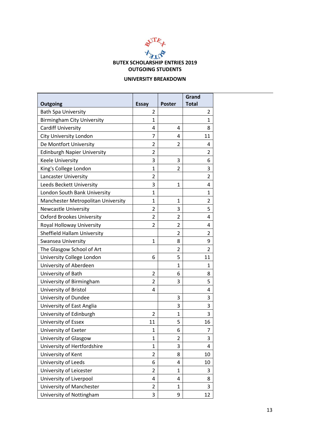

#### **UNIVERSITY BREAKDOWN**

|                                    |                |                | Grand          |
|------------------------------------|----------------|----------------|----------------|
| <b>Outgoing</b>                    | <b>Essay</b>   | <b>Poster</b>  | <b>Total</b>   |
| <b>Bath Spa University</b>         | 2              |                | $\overline{2}$ |
| <b>Birmingham City University</b>  | 1              |                | $\mathbf{1}$   |
| <b>Cardiff University</b>          | 4              | 4              | 8              |
| <b>City University London</b>      | 7              | 4              | 11             |
| De Montfort University             | $\overline{2}$ | 2              | 4              |
| <b>Edinburgh Napier University</b> | $\overline{2}$ |                | $\overline{2}$ |
| <b>Keele University</b>            | 3              | 3              | 6              |
| King's College London              | $\mathbf{1}$   | 2              | 3              |
| Lancaster University               | 2              |                | $\overline{2}$ |
| Leeds Beckett University           | 3              | 1              | 4              |
| London South Bank University       | $\mathbf{1}$   |                | 1              |
| Manchester Metropolitan University | $\mathbf{1}$   | 1              | 2              |
| <b>Newcastle University</b>        | 2              | 3              | 5              |
| <b>Oxford Brookes University</b>   | 2              | 2              | 4              |
| Royal Holloway University          | 2              | 2              | 4              |
| <b>Sheffield Hallam University</b> |                | 2              | 2              |
| <b>Swansea University</b>          | 1              | 8              | 9              |
| The Glasgow School of Art          |                | $\overline{2}$ | $\overline{2}$ |
| University College London          | 6              | 5              | 11             |
| University of Aberdeen             |                | $\mathbf{1}$   | $\mathbf{1}$   |
| University of Bath                 | 2              | 6              | 8              |
| University of Birmingham           | 2              | 3              | 5              |
| University of Bristol              | 4              |                | 4              |
| University of Dundee               |                | 3              | 3              |
| University of East Anglia          |                | 3              | 3              |
| University of Edinburgh            | 2              | 1              | 3              |
| University of Essex                | 11             | 5              | 16             |
| University of Exeter               | 1              | 6              | 7              |
| University of Glasgow              | $\mathbf{1}$   | $\overline{2}$ | 3              |
| University of Hertfordshire        | $\mathbf{1}$   | 3              | 4              |
| University of Kent                 | 2              | 8              | 10             |
| University of Leeds                | 6              | 4              | 10             |
| University of Leicester            | 2              | $\mathbf{1}$   | 3              |
| University of Liverpool            | 4              | 4              | 8              |
| University of Manchester           | $\overline{2}$ | $\mathbf{1}$   | 3              |
| University of Nottingham           | 3              | 9              | 12             |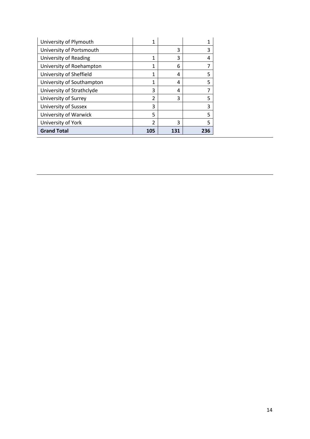| University of Plymouth    | 1              |     |     |
|---------------------------|----------------|-----|-----|
| University of Portsmouth  |                | 3   | 3   |
| University of Reading     | 1              | 3   | 4   |
| University of Roehampton  | 1              | 6   |     |
| University of Sheffield   | 1              | 4   | 5   |
| University of Southampton | 1              | 4   | 5   |
| University of Strathclyde | 3              | 4   |     |
| University of Surrey      | $\mathfrak{p}$ | 3   | 5   |
| University of Sussex      | 3              |     | 3   |
| University of Warwick     | 5              |     | 5   |
| University of York        | 2              | 3   | 5   |
| <b>Grand Total</b>        | 105            | 131 | 236 |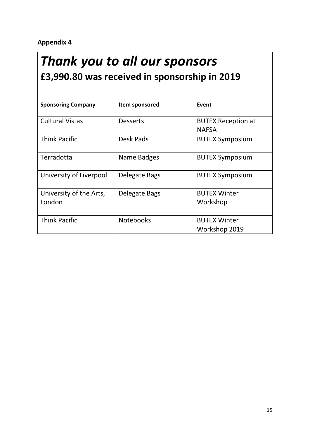# *Thank you to all our sponsors*

# **£3,990.80 was received in sponsorship in 2019**

| <b>Sponsoring Company</b> | Item sponsored   | Event                     |
|---------------------------|------------------|---------------------------|
|                           |                  |                           |
| <b>Cultural Vistas</b>    | <b>Desserts</b>  | <b>BUTEX Reception at</b> |
|                           |                  | <b>NAFSA</b>              |
| <b>Think Pacific</b>      | Desk Pads        | <b>BUTEX Symposium</b>    |
|                           |                  |                           |
| Terradotta                | Name Badges      | <b>BUTEX Symposium</b>    |
|                           |                  |                           |
| University of Liverpool   | Delegate Bags    | <b>BUTEX Symposium</b>    |
|                           |                  |                           |
| University of the Arts,   | Delegate Bags    | <b>BUTEX Winter</b>       |
| London                    |                  | Workshop                  |
|                           |                  |                           |
| <b>Think Pacific</b>      | <b>Notebooks</b> | <b>BUTEX Winter</b>       |
|                           |                  | Workshop 2019             |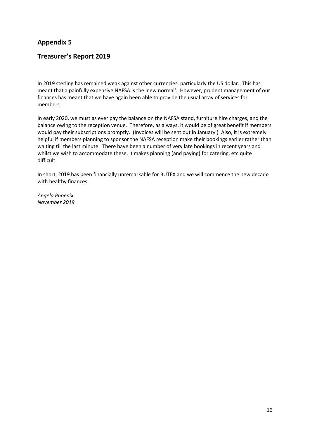# **Treasurer's Report 2019**

In 2019 sterling has remained weak against other currencies, particularly the US dollar. This has meant that a painfully expensive NAFSA is the 'new normal'. However, prudent management of our finances has meant that we have again been able to provide the usual array of services for members.

In early 2020, we must as ever pay the balance on the NAFSA stand, furniture hire charges, and the balance owing to the reception venue. Therefore, as always, it would be of great benefit if members would pay their subscriptions promptly. (Invoices will be sent out in January.) Also, it is extremely helpful if members planning to sponsor the NAFSA reception make their bookings earlier rather than waiting till the last minute. There have been a number of very late bookings in recent years and whilst we wish to accommodate these, it makes planning (and paying) for catering, etc quite difficult.

In short, 2019 has been financially unremarkable for BUTEX and we will commence the new decade with healthy finances.

*Angela Phoenix November 2019*